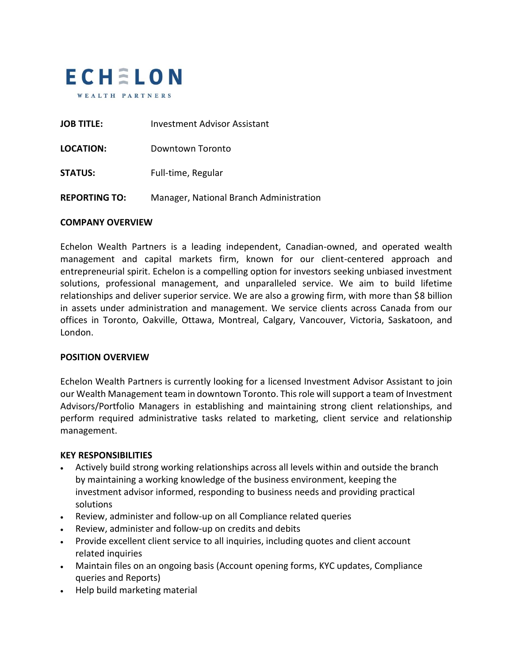

| <b>JOB TITLE:</b>    | Investment Advisor Assistant            |
|----------------------|-----------------------------------------|
| LOCATION:            | Downtown Toronto                        |
| <b>STATUS:</b>       | Full-time, Regular                      |
| <b>REPORTING TO:</b> | Manager, National Branch Administration |

## **COMPANY OVERVIEW**

Echelon Wealth Partners is a leading independent, Canadian-owned, and operated wealth management and capital markets firm, known for our client-centered approach and entrepreneurial spirit. Echelon is a compelling option for investors seeking unbiased investment solutions, professional management, and unparalleled service. We aim to build lifetime relationships and deliver superior service. We are also a growing firm, with more than \$8 billion in assets under administration and management. We service clients across Canada from our offices in Toronto, Oakville, Ottawa, Montreal, Calgary, Vancouver, Victoria, Saskatoon, and London.

## **POSITION OVERVIEW**

Echelon Wealth Partners is currently looking for a licensed Investment Advisor Assistant to join our Wealth Management team in downtown Toronto. This role will support a team of Investment Advisors/Portfolio Managers in establishing and maintaining strong client relationships, and perform required administrative tasks related to marketing, client service and relationship management.

#### **KEY RESPONSIBILITIES**

- Actively build strong working relationships across all levels within and outside the branch by maintaining a working knowledge of the business environment, keeping the investment advisor informed, responding to business needs and providing practical solutions
- Review, administer and follow-up on all Compliance related queries
- Review, administer and follow-up on credits and debits
- Provide excellent client service to all inquiries, including quotes and client account related inquiries
- Maintain files on an ongoing basis (Account opening forms, KYC updates, Compliance queries and Reports)
- Help build marketing material